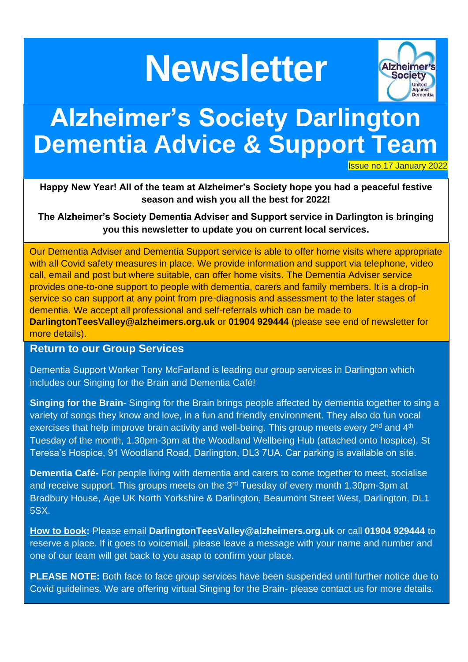# **Newsletter**



# **Alzheimer's Society Darlington Dementia Advice & Support Team**

Issue no.17 January 2022

**Happy New Year! All of the team at Alzheimer's Society hope you had a peaceful festive season and wish you all the best for 2022!**

**The Alzheimer's Society Dementia Adviser and Support service in Darlington is bringing you this newsletter to update you on current local services.** 

Our Dementia Adviser and Dementia Support service is able to offer home visits where appropriate with all Covid safety measures in place. We provide information and support via telephone, video call, email and post but where suitable, can offer home visits. The Dementia Adviser service provides one-to-one support to people with dementia, carers and family members. It is a drop-in service so can support at any point from pre-diagnosis and assessment to the later stages of dementia. We accept all professional and self-referrals which can be made to **DarlingtonTeesValley@alzheimers.org.uk** or **01904 929444** (please see end of newsletter for more details).

#### **Return to our Group Services**

Dementia Support Worker Tony McFarland is leading our group services in Darlington which includes our Singing for the Brain and Dementia Café!

**Singing for the Brain**- Singing for the Brain brings people affected by dementia together to sing a variety of songs they know and love, in a fun and friendly environment. They also do fun vocal exercises that help improve brain activity and well-being. This group meets every 2<sup>nd</sup> and 4<sup>th</sup> Tuesday of the month, 1.30pm-3pm at the Woodland Wellbeing Hub (attached onto hospice), St Teresa's Hospice, 91 Woodland Road, Darlington, DL3 7UA. Car parking is available on site.

**Dementia Café-** For people living with dementia and carers to come together to meet, socialise and receive support. This groups meets on the 3<sup>rd</sup> Tuesday of every month 1.30pm-3pm at Bradbury House, Age UK North Yorkshire & Darlington, Beaumont Street West, Darlington, DL1 5SX.

**How to book:** Please email **DarlingtonTeesValley@alzheimers.org.uk** or call **01904 929444** to reserve a place. If it goes to voicemail, please leave a message with your name and number and one of our team will get back to you asap to confirm your place.

**PLEASE NOTE:** Both face to face group services have been suspended until further notice due to Covid guidelines. We are offering virtual Singing for the Brain- please contact us for more details.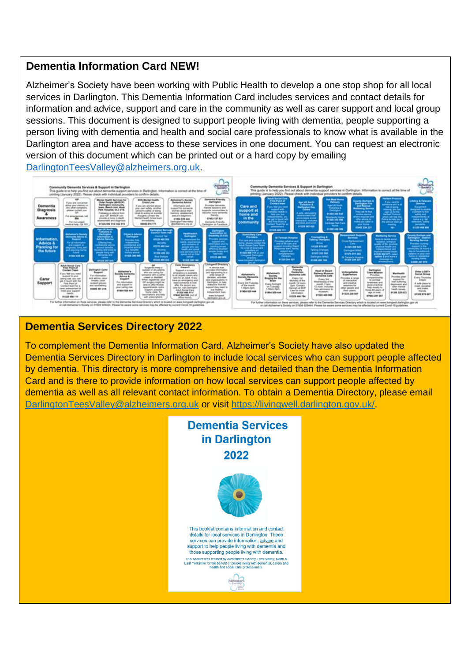# **Dementia Information Card NEW!**

Alzheimer's Society have been working with Public Health to develop a one stop shop for all local services in Darlington. This Dementia Information Card includes services and contact details for information and advice, support and care in the community as well as carer support and local group sessions. This document is designed to support people living with dementia, people supporting a person living with dementia and health and social care professionals to know what is available in the Darlington area and have access to these services in one document. You can request an electronic version of this document which can be printed out or a hard copy by emailing [DarlingtonTeesValley@alzheimers.org.uk.](mailto:DarlingtonTeesValley@alzheimers.org.uk)



# **Dementia Services Directory 2022**

To complement the Dementia Information Card, Alzheimer's Society have also updated the Dementia Services Directory in Darlington to include local services who can support people affected by dementia. This directory is more comprehensive and detailed than the Dementia Information Card and is there to provide information on how local services can support people affected by dementia as well as all relevant contact information. To obtain a Dementia Directory, please email [DarlingtonTeesValley@alzheimers.org.uk](mailto:DarlingtonTeesValley@alzheimers.org.uk) or visit [https://livingwell.darlington.gov.uk/.](https://livingwell.darlington.gov.uk/)

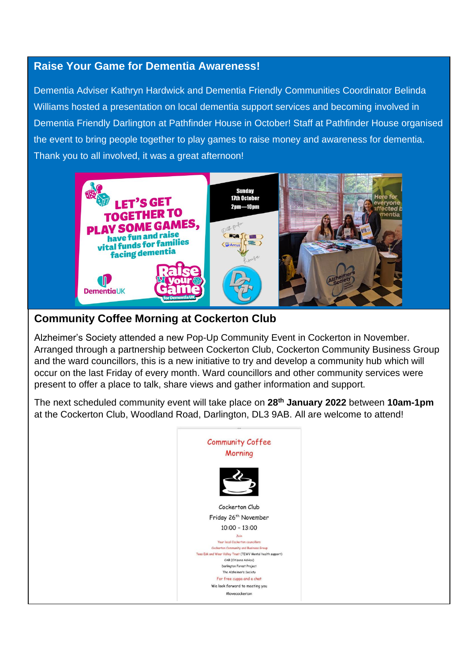#### **Raise Your Game for Dementia Awareness!**

Dementia Adviser Kathryn Hardwick and Dementia Friendly Communities Coordinator Belinda Williams hosted a presentation on local dementia support services and becoming involved in Dementia Friendly Darlington at Pathfinder House in October! Staff at Pathfinder House organised the event to bring people together to play games to raise money and awareness for dementia. Thank you to all involved, it was a great afternoon!



# **Community Coffee Morning at Cockerton Club**

Alzheimer's Society attended a new Pop-Up Community Event in Cockerton in November. Arranged through a partnership between Cockerton Club, Cockerton Community Business Group and the ward councillors, this is a new initiative to try and develop a community hub which will occur on the last Friday of every month. Ward councillors and other community services were present to offer a place to talk, share views and gather information and support.

The next scheduled community event will take place on **28th January 2022** between **10am-1pm** at the Cockerton Club, Woodland Road, Darlington, DL3 9AB. All are welcome to attend!